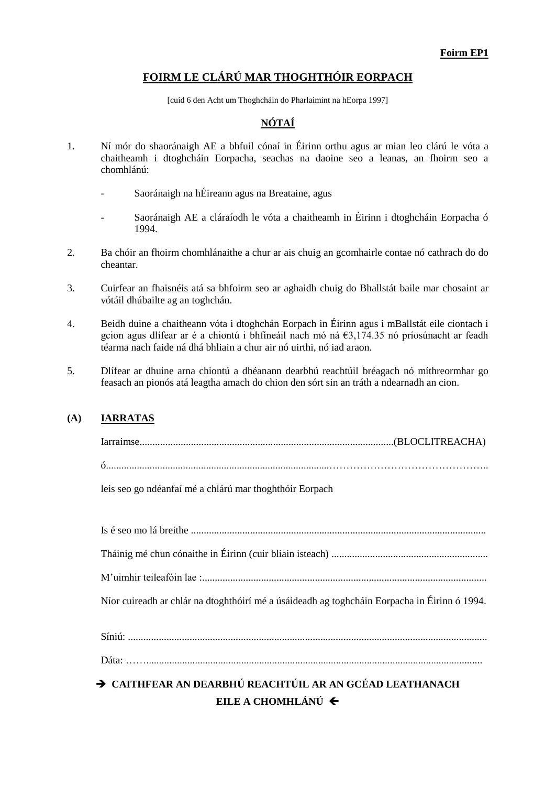## **FOIRM LE CLÁRÚ MAR THOGHTHÓIR EORPACH**

[cuid 6 den Acht um Thoghcháin do Pharlaimint na hEorpa 1997]

# **NÓTAÍ**

- 1. Ní mór do shaoránaigh AE a bhfuil cónaí in Éirinn orthu agus ar mian leo clárú le vóta a chaitheamh i dtoghcháin Eorpacha, seachas na daoine seo a leanas, an fhoirm seo a chomhlánú:
	- Saoránaigh na hÉireann agus na Breataine, agus
	- Saoránaigh AE a cláraíodh le vóta a chaitheamh in Éirinn i dtoghcháin Eorpacha ó 1994.
- 2. Ba chóir an fhoirm chomhlánaithe a chur ar ais chuig an gcomhairle contae nó cathrach do do cheantar.
- 3. Cuirfear an fhaisnéis atá sa bhfoirm seo ar aghaidh chuig do Bhallstát baile mar chosaint ar vótáil dhúbailte ag an toghchán.
- 4. Beidh duine a chaitheann vóta i dtoghchán Eorpach in Éirinn agus i mBallstát eile ciontach i gcion agus dlífear ar é a chiontú i bhfíneáil nach mó ná €3,174.35 nó príosúnacht ar feadh téarma nach faide ná dhá bhliain a chur air nó uirthi, nó iad araon.
- 5. Dlífear ar dhuine arna chiontú a dhéanann dearbhú reachtúil bréagach nó míthreormhar go feasach an pionós atá leagtha amach do chion den sórt sin an tráth a ndearnadh an cion.

#### **(A) IARRATAS**

leis seo go ndéanfaí mé a chlárú mar thoghthóir Eorpach

Is é seo mo lá breithe ................................................................................................................... Tháinig mé chun cónaithe in Éirinn (cuir bliain isteach) ............................................................. M'uimhir teileafóin lae :............................................................................................................... Níor cuireadh ar chlár na dtoghthóirí mé a úsáideadh ag toghcháin Eorpacha in Éirinn ó 1994. Síniú: ............................................................................................................................................ Dáta: ……...................................................................................................................................

# **CAITHFEAR AN DEARBHÚ REACHTÚIL AR AN GCÉAD LEATHANACH EILE A CHOMHLÁNÚ**